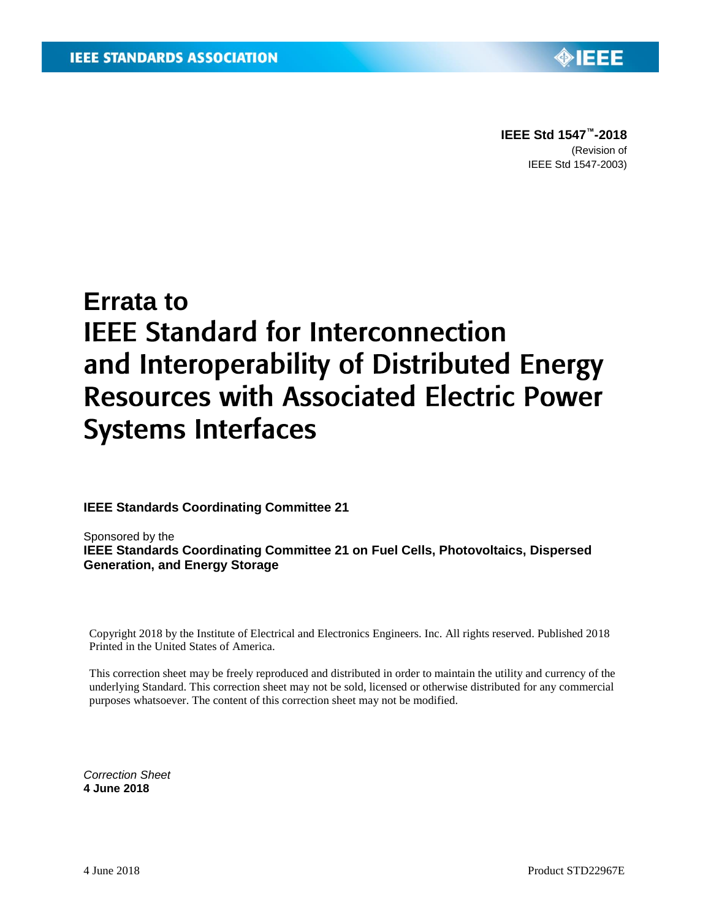**IEEE Std 1547 ™-2018** (Revision of IEEE Std 1547-2003)

◈IEEE

## **Errata to IEEE Standard for Interconnection** and Interoperability of Distributed Energy **Resources with Associated Electric Power Systems Interfaces**

**IEEE Standards Coordinating Committee 21** 

Sponsored by the **IEEE Standards Coordinating Committee 21 on Fuel Cells, Photovoltaics, Dispersed Generation, and Energy Storage**

Copyright 2018 by the Institute of Electrical and Electronics Engineers. Inc. All rights reserved. Published 2018 Printed in the United States of America.

This correction sheet may be freely reproduced and distributed in order to maintain the utility and currency of the underlying Standard. This correction sheet may not be sold, licensed or otherwise distributed for any commercial purposes whatsoever. The content of this correction sheet may not be modified.

*Correction Sheet* **4 June 2018**